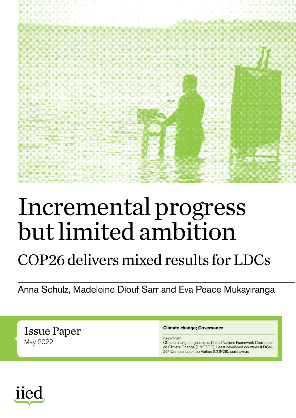

## Incremental progress but limited ambition

## COP26 delivers mixed results for LDCs

Anna Schulz, Madeleine Diouf Sarr and Eva Peace Mukayiranga

Issue Paper May 2022

#### **Climate change; Governance**

*Keywords:*

Climate change negotiations, United Nations Framework Convention on Climate Change (UNFCCC), Least developed countries (LDCs), 26<sup>th</sup> Conference of the Parties (COP26), coronavirus

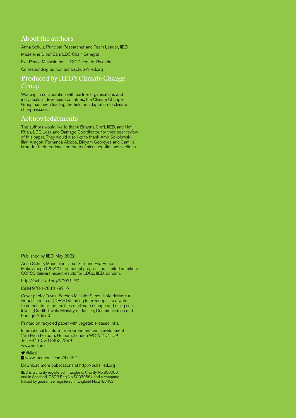#### About the authors

Anna Schulz, Principal Researcher and Team Leader, IIED

Madeleine Diouf Sarr, LDC Chair, Senegal

Eva Peace Mukayiranga, LDC Delegate, Rwanda

Corresponding author: [anna.schulz@iied.org](mailto:anna.schulz%40iied.org?subject=)

#### Produced by IIED's Climate Change Group

Working in collaboration with partner organisations and individuals in developing countries, the Climate Change Group has been leading the field on adaptation to climate change issues.

#### Acknowledgements

The authors would like to thank Brianna Craft, IIED, and Hafij Khan, LDC Loss and Damage Coordinator, for their peer review of this paper. They would also like to thank Amir Sokolowski, Illari Aragon, Fernanda Alcobe, Binyam Gebreyes and Camilla More for their feedback on the technical negotiations sections.

Published by IIED, May 2022

Anna Schulz, Madeleine Diouf Sarr and Eva Peace Mukayiranga (2022) Incremental progress but limited ambition: COP26 delivers mixed results for LDCs. IIED, London.

<http://pubs.iied.org/20971IIED>

ISBN 978-1-78431-971-7

Cover photo: Tuvalu Foreign Minister Simon Kofe delivers a virtual speech at COP26 standing knee-deep in sea water to demonstrate the realities of climate change and rising sea levels (Credit: Tuvalu Ministry of Justice, Communication and Foreign Affairs)

Printed on recycled paper with vegetable-based inks.

International Institute for Environment and Development 235 High Holborn, Holborn, London WC1V 7DN, UK Tel: +44 (0)20 3463 7399 [www.iied.org](http://www.iied.org)

 $\blacktriangleright$  [@iied](https://twitter.com/iied)

**H** [www.facebook.com/theIIED](http://www.facebook.com/theIIED)

Download more publications at<http://pubs.iied.org>

IIED is a charity registered in England, Charity No.800066 and in Scotland, OSCR Reg No.SC039864 and a company limited by guarantee registered in England No.2188452.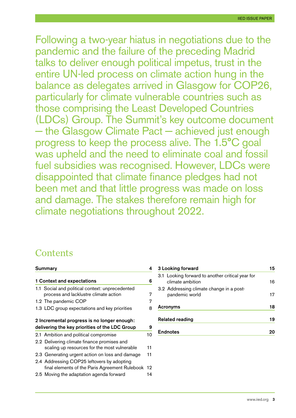Following a two-year hiatus in negotiations due to the pandemic and the failure of the preceding Madrid talks to deliver enough political impetus, trust in the entire UN-led process on climate action hung in the balance as delegates arrived in Glasgow for COP26, particularly for climate vulnerable countries such as those comprising the Least Developed Countries (LDCs) Group. The Summit's key outcome document − the Glasgow Climate Pact − achieved just enough progress to keep the process alive. The 1.5°C goal was upheld and the need to eliminate coal and fossil fuel subsidies was recognised. However, LDCs were disappointed that climate finance pledges had not been met and that little progress was made on loss and damage. The stakes therefore remain high for climate negotiations throughout 2022.

## **Contents**

|                            | <b>Summary</b>                                  |    |  |
|----------------------------|-------------------------------------------------|----|--|
| 1 Context and expectations |                                                 |    |  |
|                            | 1.1 Social and political context: unprecedented |    |  |
|                            | process and lacklustre climate action           | 7  |  |
|                            | 1.2 The pandemic COP                            | 7  |  |
|                            | 1.3 LDC group expectations and key priorities   | 8  |  |
|                            | 2 Incremental progress is no longer enough:     |    |  |
|                            | delivering the key priorities of the LDC Group  | 9  |  |
|                            | 2.1 Ambition and political compromise           | 10 |  |
|                            | 2.2 Delivering climate finance promises and     |    |  |
|                            | scaling up resources for the most vulnerable    | 11 |  |
|                            | 2.3 Generating urgent action on loss and damage | 11 |  |
|                            | 2.4 Addressing COP25 leftovers by adopting      |    |  |
|                            | final elements of the Paris Agreement Rulebook  | 12 |  |
|                            | 2.5 Moving the adaptation agenda forward        | 14 |  |

| 3 Looking forward |                                                                      | 15 |
|-------------------|----------------------------------------------------------------------|----|
|                   | 3.1 Looking forward to another critical year for<br>climate ambition | 16 |
|                   | 3.2 Addressing climate change in a post-<br>pandemic world           | 17 |
|                   | Acronyms                                                             |    |
|                   | <b>Related reading</b>                                               | 19 |
|                   | <b>Endnotes</b>                                                      |    |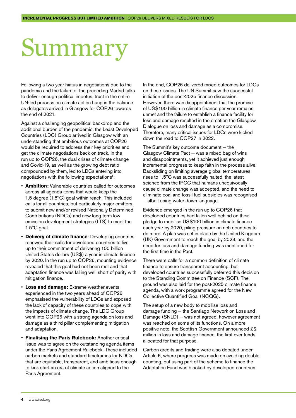## <span id="page-3-0"></span>Summary

Following a two-year hiatus in negotiations due to the pandemic and the failure of the preceding Madrid talks to deliver enough political impetus, trust in the entire UN-led process on climate action hung in the balance as delegates arrived in Glasgow for COP26 towards the end of 2021.

Against a challenging geopolitical backdrop and the additional burden of the pandemic, the Least Developed Countries (LDC) Group arrived in Glasgow with an understanding that ambitious outcomes at COP26 would be required to address their key priorities and get the climate negotiations back on track. In the run up to COP26, the dual crises of climate change and Covid-19, as well as the growing debt ratio compounded by them, led to LDCs entering into negotiations with the following expectations<sup>1</sup>:

- **Ambition:** Vulnerable countries called for outcomes across all agenda items that would keep the 1.5 degree (1.5°C) goal within reach. This included calls for all countries, but particularly major emitters, to submit new and/or revised Nationally Determined Contributions (NDCs) and new long-term low emission development strategies (LTS) to meet the 1.5°C goal.
- **Delivery of climate finance**: Developing countries renewed their calls for developed countries to live up to their commitment of delivering 100 billion United States dollars (US\$) a year in climate finance by 2020. In the run up to COP26, mounting evidence revealed that this goal had not been met and that adaptation finance was falling well short of parity with mitigation finance.
- **Loss and damage:** Extreme weather events experienced in the two years ahead of COP26 emphasised the vulnerability of LDCs and exposed the lack of capacity of these countries to cope with the impacts of climate change. The LDC Group went into COP26 with a strong agenda on loss and damage as a third pillar complementing mitigation and adaptation.
- **Finalising the Paris Rulebook:** Another critical issue was to agree on the outstanding agenda items under the Paris Agreement Rulebook. These included carbon markets and standard timeframes for NDCs that are equitable, transparent, and ambitious enough to kick start an era of climate action aligned to the Paris Agreement.

In the end, COP26 delivered mixed outcomes for LDCs on these issues. The UN Summit saw the successful initiation of the post-2025 finance discussion. However, there was disappointment that the promise of US\$100 billion in climate finance per year remains unmet and the failure to establish a finance facility for loss and damage resulted in the creation the Glasgow Dialogue on loss and damage as a compromise. Therefore, many critical issues for LDCs were kicked down the road to COP27 in 2022.

The Summit's key outcome document – the Glasgow Climate Pact – was a mixed bag of wins and disappointments, yet it achieved just enough incremental progress to keep faith in the process alive. Backsliding on limiting average global temperatures rises to 1.5°C was successfully halted, the latest science from the IPCC that humans unequivocally cause climate change was accepted, and the need to eliminate coal and fossil fuel subsidies was recognised − albeit using water down language.

Evidence emerged in the run up to COP26 that developed countries had fallen well behind on their pledge to mobilise US\$100 billion in climate finance each year by 2020, piling pressure on rich countries to do more. A plan was set in place by the United Kingdom (UK) Government to reach the goal by 2023, and the need for loss and damage funding was mentioned for the first time in the Pact.

There were calls for a common definition of climate finance to ensure transparent accounting, but developed countries successfully deferred this decision to the Standing Committee on Finance (SCF). The ground was also laid for the post-2025 climate finance agenda, with a work programme agreed for the New Collective Quantified Goal (NCQG).

The setup of a new body to mobilise loss and damage funding − the Santiago Network on Loss and Damage (SNLD) – was not agreed, however agreement was reached on some of its functions. On a more positive note, the Scottish Government announced £2 million in loss and damage finance, the first ever funds allocated for that purpose.

Carbon credits and trading were also debated under Article 6, where progress was made on avoiding double counting, but using part of the scheme to finance the Adaptation Fund was blocked by developed countries.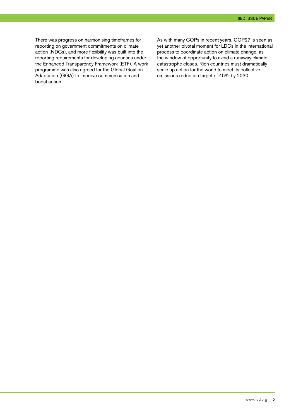There was progress on harmonising timeframes for reporting on government commitments on climate action (NDCs), and more flexibility was built into the reporting requirements for developing counties under the Enhanced Transparency Framework (ETF). A work programme was also agreed for the Global Goal on Adaptation (GGA) to improve communication and boost action.

As with many COPs in recent years, COP27 is seen as yet another pivotal moment for LDCs in the international process to coordinate action on climate change, as the window of opportunity to avoid a runaway climate catastrophe closes. Rich countries must dramatically scale up action for the world to meet its collective emissions reduction target of 45% by 2030.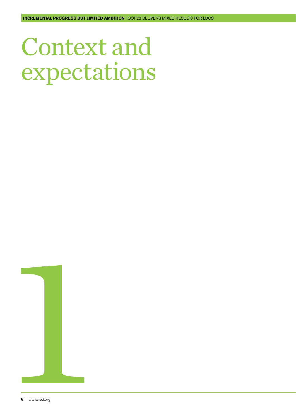<span id="page-5-0"></span>Context and expectations

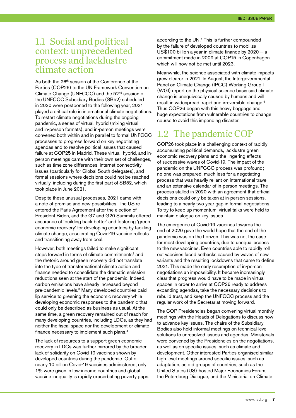#### <span id="page-6-0"></span>1.1 Social and political context: unprecedented process and lacklustre climate action

As both the 26<sup>th</sup> session of the Conference of the Parties (COP26) to the UN Framework Convention on Climate Change (UNFCCC) and the 52<sup>nd</sup> session of the UNFCCC Subsidiary Bodies (SB52) scheduled in 2020 were postponed to the following year, 2021 played a critical role in international climate negotiations. To restart climate negotiations during the ongoing pandemic, a series of virtual, hybrid (mixing virtual and in-person formats), and in-person meetings were convened both within and in parallel to formal UNFCCC processes to progress forward on key negotiating agendas and to resolve political issues that caused failure at COP25 in Madrid. These virtual, hybrid, and inperson meetings came with their own set of challenges, such as time zone differences, internet connectivity issues (particularly for Global South delegates), and formal sessions where decisions could not be reached virtually, including during the first part of SB52, which took place in June 2021.

Despite these unusual processes, 2021 came with a note of promise and new possibilities. The US reentered the Paris Agreement after the election of President Biden, and the G7 and G20 Summits offered assurance of 'building back better' and fostering 'green economic recovery' for developing countries by tackling climate change, accelerating Covid-19 vaccine rollouts and transitioning away from coal.

However, both meetings failed to make significant steps forward in terms of climate commitments<sup>2</sup> and the rhetoric around green recovery did not translate into the type of transformational climate action and finance needed to consolidate the dramatic emission reductions seen at the start of the pandemic. Indeed, carbon emissions have already increased beyond pre-pandemic levels.<sup>3</sup> Many developed countries paid lip service to greening the economic recovery while developing economic responses to the pandemic that could only be described as business as usual. At the same time, a green recovery remained out of reach for many developing countries, including LDCs, as they had neither the fiscal space nor the development or climate finance necessary to implement such plans.4

The lack of resources to a support green economic recovery in LDCs was further mirrored by the broader lack of solidarity on Covid-19 vaccines shown by developed countries during the pandemic. Out of nearly 10 billion Covid-19 vaccines administered, only 1% were given in low-income countries and global vaccine inequality is rapidly exacerbating poverty gaps, according to the UN.<sup>5</sup> This is further compounded by the failure of developed countries to mobilize US\$100 billion a year in climate finance by  $2020 - a$ commitment made in 2009 at COP15 in Copenhagen which will now not be met until 2023.

Meanwhile, the science associated with climate impacts grew clearer in 2021. In August, the Intergovernmental Panel on Climate Change (IPCC) Working Group I (WGI) report on the physical science basis said climate change is unequivocally caused by humans and will result in widespread, rapid and irreversible change.6 Thus COP26 began with this heavy baggage and huge expectations from vulnerable countries to change course to avoid this impending disaster.

## 1.2 The pandemic COP

COP26 took place in a challenging context of rapidly accumulating political demands, lacklustre green economic recovery plans and the lingering effects of successive waves of Covid-19. The impact of the pandemic on the UNFCCC process was profound; no one was prepared, much less for a negotiating process that was heavily reliant on international travel and an extensive calendar of in-person meetings. The process stalled in 2020 with an agreement that official decisions could only be taken at in-person sessions, leading to a nearly two-year gap in formal negotiations. To try to keep up momentum, virtual talks were held to maintain dialogue on key issues.

The emergence of Covid-19 vaccines towards the end of 2020 gave the world hope that the end of the pandemic was on the horizon. This was not the case for most developing countries, due to unequal access to the new vaccines. Even countries able to rapidly roll out vaccines faced setbacks caused by waves of new variants and the resulting lockdowns that came to define 2021. This made the early resumption of in-person negotiations an impossibility. It became increasingly clear that progress would have to be made in virtual spaces in order to arrive at COP26 ready to address expanding agendas, take the necessary decisions to rebuild trust, and keep the UNFCCC process and the regular work of the Secretariat moving forward.

The COP Presidencies began convening virtual monthly meetings with the Heads of Delegations to discuss how to advance key issues. The chairs of the Subsidiary Bodies also held informal meetings on technical-level solutions to unresolved issues and agendas. Ministerials were convened by the Presidencies on the negotiations, as well as on specific issues, such as climate and development. Other interested Parties organised similar high-level meetings around specific issues, such as adaptation, as did groups of countries, such as the United States (US)-hosted Major Economies Forum, the Petersburg Dialogue, and the Ministerial on Climate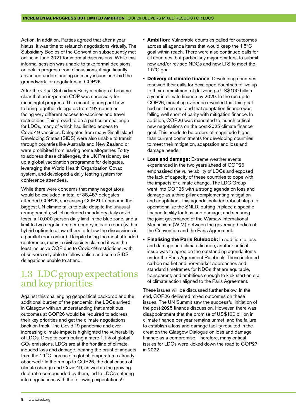<span id="page-7-0"></span>Action. In addition, Parties agreed that after a year hiatus, it was time to relaunch negotiations virtually. The Subsidiary Bodies of the Convention subsequently met online in June 2021 for informal discussions. While this informal session was unable to take formal decisions or lock in progress from discussions, it significantly advanced understanding on many issues and laid the groundwork for negotiators at COP26.

After the virtual Subsidiary Body meetings it became clear that an in-person COP was necessary for meaningful progress. This meant figuring out how to bring together delegates from 197 countries facing very different access to vaccines and travel restrictions. This proved to be a particular challenge for LDCs, many of which had limited access to Covid-19 vaccines. Delegates from many Small Island Developing States (SIDS) were also unable to transit through countries like Australia and New Zealand or were prohibited from leaving home altogether. To try to address these challenges, the UK Presidency set up a global vaccination programme for delegates, leveraging the World Health Organization Covax system, and developed a daily testing system for conference attendees.

While there were concerns that many negotiators would be excluded, a total of 38,457 delegates attended COP26, surpassing COP21 to become the biggest UN climate talks to date despite the unusual arrangements, which included mandatory daily covid tests, a 10,000-person daily limit in the blue zone, and a limit to two negotiators per country in each room (with a hybrid option to allow others to follow the discussions in a parallel room online). Despite being the most attended conference, many in civil society claimed it was the least inclusive COP due to Covid-19 restrictions, with observers only able to follow online and some SIDS delegations unable to attend.

### 1.3 LDC group expectations and key priorities

Against this challenging geopolitical backdrop and the additional burden of the pandemic, the LDCs arrived in Glasgow with an understanding that ambitious outcomes at COP26 would be required to address their key priorities and get the climate negotiations back on track. The Covid-19 pandemic and everincreasing climate impacts highlighted the vulnerability of LDCs. Despite contributing a mere 1.1% of global  $CO<sub>2</sub>$  emissions, LDCs are at the frontline of climateinduced loss and damage, bearing the brunt of impacts from the 1.1°C increase in global temperatures already observed.7 In the run up to COP26, the dual crises of climate change and Covid-19, as well as the growing debt ratio compounded by them, led to LDCs entering into negotiations with the following expectations<sup>8</sup>:

- **Ambition:** Vulnerable countries called for outcomes across all agenda items that would keep the 1.5°C goal within reach. There were also continued calls for all countries, but particularly major emitters, to submit new and/or revised NDCs and new LTS to meet the 1.5°C goal.
- **Delivery of climate finance**: Developing countries renewed their calls for developed countries to live up to their commitment of delivering a US\$100 billion a year in climate finance by 2020. In the run up to COP26, mounting evidence revealed that this goal had not been met and that adaptation finance was falling well short of parity with mitigation finance. In addition, COP26 was mandated to launch critical new negotiations on the post-2025 climate finance goal. This needs to be orders of magnitude higher than current commitments for developing countries to meet their mitigation, adaptation and loss and damage needs.
- **Loss and damage:** Extreme weather events experienced in the two years ahead of COP26 emphasised the vulnerability of LDCs and exposed the lack of capacity of these countries to cope with the impacts of climate change. The LDC Group went into COP26 with a strong agenda on loss and damage as a third pillar complementing mitigation and adaptation. This agenda included robust steps to operationalize the SNLD, putting in place a specific finance facility for loss and damage, and securing the joint governance of the Warsaw International Mechanism (WIM) between the governing bodies of the Convention and the Paris Agreement.
- **Finalising the Paris Rulebook:** In addition to loss and damage and climate finance, another critical issue was to agree on the outstanding agenda items under the Paris Agreement Rulebook. These included carbon market and non-market approaches and standard timeframes for NDCs that are equitable. transparent, and ambitious enough to kick start an era of climate action aligned to the Paris Agreement.

These issues will be discussed further below. In the end, COP26 delivered mixed outcomes on these issues. The UN Summit saw the successful initiation of the post-2025 finance discussion. However, there was disappointment that the promise of US\$100 billion in climate finance per year remains unmet, and the failure to establish a loss and damage facility resulted in the creation the Glasgow Dialogue on loss and damage finance as a compromise. Therefore, many critical issues for LDCs were kicked down the road to COP27 in 2022.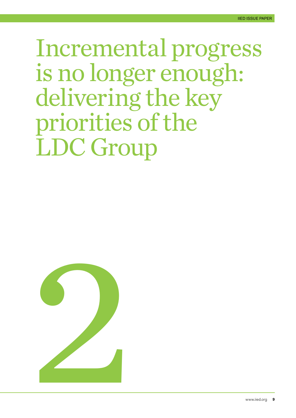## <span id="page-8-0"></span>Incremental progress is no longer enough: delivering the key priorities of the LDC Group

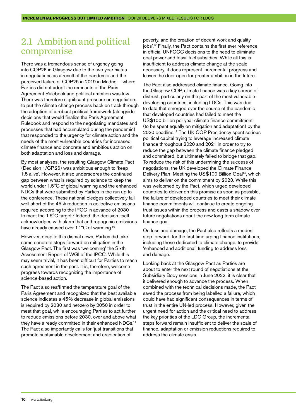### <span id="page-9-0"></span>2.1 Ambition and political compromise

There was a tremendous sense of urgency going into COP26 in Glasgow due to the two-year hiatus in negotiations as a result of the pandemic and the perceived failure of COP25 in 2019 in Madrid – where Parties did not adopt the remnants of the Paris Agreement Rulebook and political ambition was low. There was therefore significant pressure on negotiators to put the climate change process back on track through the adoption of a robust political framework (alongside decisions that would finalize the Paris Agreement Rulebook and respond to the negotiating mandates and processes that had accumulated during the pandemic) that responded to the urgency for climate action and the needs of the most vulnerable countries for increased climate finance and concrete and ambitious action on both adaptation and loss and damage.

By most analyses, the resulting Glasgow Climate Pact (Decision 1/CP.26) was ambitious enough to 'keep 1.5 alive'. However, it also underscores the continued gap between what is required by science to keep the world under 1.5°C of global warming and the enhanced NDCs that were submitted by Parties in the run up to the conference. These national pledges collectively fall well short of the 45% reduction in collective emissions required according to the IPCC in advance of 2030 to meet the 1.5°C target.<sup>9</sup> Indeed, the decision itself acknowledges with alarm that anthropogenic emissions have already caused over 1.1°C of warming.<sup>10</sup>

However, despite this dismal news, Parties did take some concrete steps forward on mitigation in the Glasgow Pact. The first was 'welcoming' the Sixth Assessment Report of WGI of the IPCC. While this may seem trivial, it has been difficult for Parties to reach such agreement in the past. It is, therefore, welcome progress towards recognizing the importance of science-based action.

The Pact also reaffirmed the temperature goal of the Paris Agreement and recognized that the best available science indicates a 45% decrease in global emissions is required by 2030 and net-zero by 2050 in order to meet that goal, while encouraging Parties to act further to reduce emissions before 2030, over and above what they have already committed in their enhanced NDCs.<sup>11</sup> The Pact also importantly calls for 'just transitions that promote sustainable development and eradication of

poverty, and the creation of decent work and quality jobs'.12 Finally, the Pact contains the first ever reference in official UNFCCC decisions to the need to eliminate coal power and fossil fuel subsidies. While all this is insufficient to address climate change at the scale necessary, it does represent incremental progress and leaves the door open for greater ambition in the future.

The Pact also addressed climate finance. Going into the Glasgow COP, climate finance was a key source of distrust, particularly on the part of the most vulnerable developing countries, including LDCs. This was due to data that emerged over the course of the pandemic that developed countries had failed to meet the US\$100 billion per year climate finance commitment (to be spent equally on mitigation and adaptation) by the 2020 deadline.13 The UK COP Presidency spent serious political capital trying to leverage increased climate finance throughout 2020 and 2021 in order to try to reduce the gap between the climate finance pledged and committed, but ultimately failed to bridge that gap. To reduce the risk of this undermining the success of negotiations, the UK developed the Climate Finance Delivery Plan: Meeting the US\$100 Billion Goal<sup>14</sup>, which aims to deliver on the commitment by 2023. While this was welcomed by the Pact, which urged developed countries to deliver on this promise as soon as possible, the failure of developed countries to meet their climate finance commitments will continue to create ongoing trust issues within the process and casts a shadow over future negotiations about the new long-term climate finance goal.

On loss and damage, the Pact also reflects a modest step forward, for the first time urging finance institutions. including those dedicated to climate change, to provide 'enhanced and additional' funding to address loss and damage.

Looking back at the Glasgow Pact as Parties are about to enter the next round of negotiations at the Subsidiary Body sessions in June 2022, it is clear that it delivered enough to advance the process. When combined with the technical decisions made, the Pact saved the process from being labelled a failure, which could have had significant consequences in terms of trust in the entire UN-led process. However, given the urgent need for action and the critical need to address the key priorities of the LDC Group, the incremental steps forward remain insufficient to deliver the scale of finance, adaptation or emission reductions required to address the climate crisis.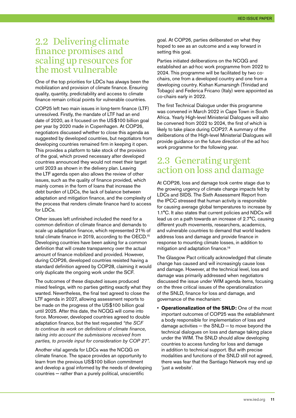### <span id="page-10-0"></span>2.2 Delivering climate finance promises and scaling up resources for the most vulnerable

One of the top priorities for LDCs has always been the mobilization and provision of climate finance. Ensuring quality, quantity, predictability and access to climate finance remain critical points for vulnerable countries.

COP25 left two main issues in long-term finance (LTF) unresolved. Firstly, the mandate of LTF had an end date of 2020, as it focused on the US\$100 billion goal per year by 2020 made in Copenhagen. At COP26, negotiators discussed whether to close this agenda as suggested by developed countries, but negotiators from developing countries remained firm in keeping it open. This provides a platform to take stock of the provision of the goal, which proved necessary after developed countries announced they would not meet their target until 2023 as shown in the delivery plan. Leaving the LTF agenda open also allows the review of other issues, such as the quality of finance provided, which mainly comes in the form of loans that increase the debt burden of LDCs, the lack of balance between adaptation and mitigation finance, and the complexity of the process that renders climate finance hard to access for LDCs.

Other issues left unfinished included the need for a common definition of climate finance and demands to scale up adaptation finance, which represented 21% of total climate finance in 2019, according to the OECD.15 Developing countries have been asking for a common definition that will create transparency over the actual amount of finance mobilized and provided. However, during COP26, developed countries resisted having a standard definition agreed by COP28, claiming it would only duplicate the ongoing work under the SCF.

The outcomes of these disputed issues produced mixed feelings, with no parties getting exactly what they wanted. Nevertheless, the final text agreed to close the LTF agenda in 2027, allowing assessment reports to be made on the progress of the US\$100 billion goal until 2025. After this date, the NCQG will come into force. Moreover, developed countries agreed to double adaptation finance, but the text requested *"the SCF to continue its work on definitions of climate finance, taking into account the submissions received from parties, to provide input for consideration by COP 27".*

Another vital agenda for LDCs was the NCQG on climate finance. The space provides an opportunity to learn from the previous US\$100 billion commitment and develop a goal informed by the needs of developing countries − rather than a purely political, unscientific

goal. At COP26, parties deliberated on what they hoped to see as an outcome and a way forward in setting this goal.

Parties initiated deliberations on the NCQG and established an ad-hoc work programme from 2022 to 2024. This programme will be facilitated by two cochairs, one from a developed country and one from a developing country. Kishan Kumarsingh (Trinidad and Tobago) and Federica Fricano (Italy) were appointed as co-chairs early in 2022.

The first Technical Dialogue under this programme was convened in March 2022 in Cape Town in South Africa. Yearly High-level Ministerial Dialogues will also be convened from 2022 to 2024, the first of which is likely to take place during COP27. A summary of the deliberations of the High-level Ministerial Dialogues will provide guidance on the future direction of the ad hoc work programme for the following year.

### 2.3 Generating urgent action on loss and damage

At COP26, loss and damage took centre stage due to the growing urgency of climate change impacts felt by LDCs and SIDS. The Sixth Assessment Report from the IPCC stressed that human activity is responsible for causing average global temperatures to increase by 1.1°C. It also states that current policies and NDCs will lead us on a path towards an increase of 2.7°C, causing different youth movements, researchers, academics, and vulnerable countries to demand that world leaders address loss and damage and provide finance in response to mounting climate losses, in addition to mitigation and adaptation finance.<sup>16</sup>

The Glasgow Pact critically acknowledged that climate change has caused and will increasingly cause loss and damage. However, at the technical level, loss and damage was primarily addressed when negotiators discussed the issue under WIM agenda items, focusing on the three critical issues of the operationalization of the SNLD, finance for loss and damage, and governance of the mechanism:

• **Operationalization of the SNLD:** One of the most important outcomes of COP25 was the establishment a body responsible for implementation of loss and damage activities – the SNLD – to move beyond the technical dialogues on loss and damage taking place under the WIM. The SNLD should allow developing countries to access funding for loss and damage in addition to technical support. But with precise modalities and functions of the SNLD still not agreed, there was fear that the Santiago Network may end up 'iust a website'.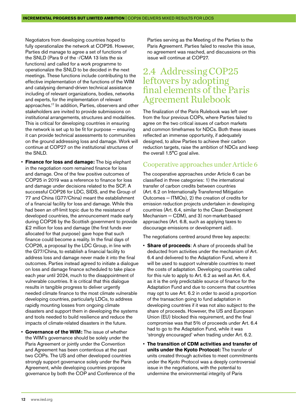<span id="page-11-0"></span>Negotiators from developing countries hoped to fully operationalize the network at COP26. However, Parties did manage to agree a set of functions of the SNLD (Para 9 of the -/CMA 13 lists the six functions) and called for a work programme to operationalize the SNLD to be decided in the next meetings. These functions include contributing to the effective implementation of the functions of the WIM and catalysing demand-driven technical assistance including of relevant organizations, bodies, networks and experts, for the implementation of relevant approaches.17 In addition, Parties, observers and other stakeholders are invited to provide submissions on institutional arrangements, structures and modalities. This is critical for developing countries in ensuring the network is set up to be fit for purpose − ensuring it can provide technical assessments to communities on the ground addressing loss and damage. Work will continue at COP27 on the institutional structures of the SNLD.

- **Finance for loss and damage:** The big elephant in the negotiation room remained finance for loss and damage. One of the few positive outcomes of COP25 in 2019 was a reference to finance for loss and damage under decisions related to the SCF. A successful COP26 for LDC, SIDS, and the Group of 77 and China (G77/China) meant the establishment of a financial facility for loss and damage. While this had been an off-limit topic due to the resistance of developed countries, the announcement made early during COP26 by the Scottish government to provide £2 million for loss and damage (the first funds ever allocated for that purpose) gave hope that such finance could become a reality. In the final days of COP26, a proposal by the LDC Group, in line with the G77/China, to establish a financial facility to address loss and damage never made it into the final outcomes. Parties instead agreed to initiate a dialogue on loss and damage finance scheduled to take place each year until 2024, much to the disappointment of vulnerable countries. It is critical that this dialogue results in tangible progress to deliver urgently needed climate finance to the most climate vulnerable developing countries, particularly LDCs, to address rapidly mounting losses from ongoing climate disasters and support them in developing the systems and tools needed to build resilience and reduce the impacts of climate-related disasters in the future.
- **Governance of the WIM:** The issue of whether the WIM's governance should be solely under the Paris Agreement or jointly under the Convention and Agreement has been contentious at the past two COPs. The US and other developed countries strongly support governance solely under the Paris Agreement, while developing countries propose governance by both the COP and Conference of the

Parties serving as the Meeting of the Parties to the Paris Agreement. Parties failed to resolve this issue, no agreement was reached, and discussions on this issue will continue at COP27.

### 2.4 Addressing COP25 leftovers by adopting final elements of the Paris Agreement Rulebook

The finalization of the Paris Rulebook was left over from the four previous COPs, where Parties failed to agree on the two critical issues of carbon markets and common timeframes for NDCs. Both these issues reflected an immense opportunity, if adequately designed, to allow Parties to achieve their carbon reduction targets, raise the ambition of NDCs and keep the overall 1.5°C goal alive.

#### Cooperative approaches under Article 6

The cooperative approaches under Article 6 can be classified in three categories: 1) the international transfer of carbon credits between countries (Art. 6.2 on Internationally Transferred Mitigation Outcomes − ITMOs), 2) the creation of credits for emission reduction projects undertaken in developing countries (Art. 6.4, similar to the Clean Development Mechanism − CDM), and 3) non-market-based approaches (Art. 6.8, such as applying taxes to discourage emissions or development aid).

The negotiations centred around three key aspects:

- **Share of proceeds**: A share of proceeds shall be deducted from activities under the mechanism of Art. 6.4 and delivered to the Adaptation Fund, where it will be used to support vulnerable countries to meet the costs of adaptation. Developing countries called for this rule to apply to Art. 6.2 as well as Art. 6.4, as it is the only predictable source of finance for the Adaptation Fund and due to concerns that countries may opt to use Art. 6.2 in order to avoid a proportion of the transaction going to fund adaptation in developing countries if it was not also subject to the share of proceeds. However, the US and European Union (EU) blocked this requirement, and the final compromise was that 5% of proceeds under Art. 6.4 had to go to the Adaptation Fund, while it was 'strongly encouraged' when trading under Art. 6.2.
- **The transition of CDM activities and transfer of units under the Kyoto Protocol:** The transfer of units created through activities to meet commitments under the Kyoto Protocol was a deeply controversial issue in the negotiations, with the potential to undermine the environmental integrity of Paris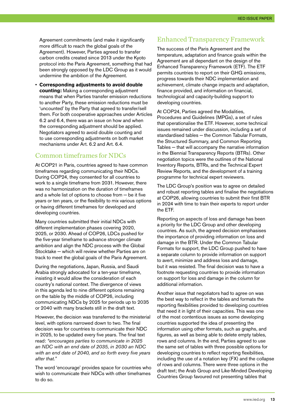Agreement commitments (and make it significantly more difficult to reach the global goals of the Agreement). However, Parties agreed to transfer carbon credits created since 2013 under the Kyoto protocol into the Paris Agreement, something that had been strongly opposed by the LDC Group as it would undermine the ambition of the Agreement.

• **Corresponding adjustments to avoid double counting:** Making a corresponding adjustment means that when Parties transfer emission reductions to another Party, these emission reductions must be 'uncounted' by the Party that agreed to transfer/sell them. For both cooperative approaches under Articles 6.2 and 6.4, there was an issue on how and when the corresponding adjustment should be applied. Negotiators agreed to avoid double counting and to use corresponding adjustments on both market mechanisms under Art. 6.2 and Art. 6.4.

#### Common timeframes for NDCs

At COP21 in Paris, countries agreed to have common timeframes regarding communicating their NDCs. During COP24, they consented for all countries to work to a single timeframe from 2031. However, there was no harmonization on the duration of timeframes and a whole list of options to choose from − be it five years or ten years, or the flexibility to mix various options or having different timeframes for developed and developing countries.

Many countries submitted their initial NDCs with different implementation phases covering 2020, 2025, or 2030. Ahead of COP26, LDCs pushed for the five-year timeframe to advance stronger climate ambition and align the NDC process with the Global Stocktake − which will review whether Parties are on track to meet the global goals of the Paris Agreement.

During the negotiations, Japan, Russia, and Saudi Arabia strongly advocated for a ten-year timeframe, insisting it would allow the consideration of each country's national context. The divergence of views in this agenda led to nine different options remaining on the table by the middle of COP26, including communicating NDCs by 2025 for periods up to 2035 or 2040 with many brackets still in the draft text.

However, the decision was transferred to the ministerial level, with options narrowed down to two. The final decision was for countries to communicate their NDC in 2025, to be updated every five years. The final text read: *"encourages parties to communicate in 2025 an NDC with an end date of 2035, in 2030 an NDC with an end date of 2040, and so forth every five years after that."*

The word 'encourage' provides space for countries who wish to communicate their NDCs with other timeframes to do so.

#### Enhanced Transparency Framework

The success of the Paris Agreement and the temperature, adaptation and finance goals within the Agreement are all dependant on the design of the Enhanced Transparency Framework (ETF). The ETF permits countries to report on their GHG emissions, progress towards their NDC implementation and achievement, climate change impacts and adaptation, finance provided, and information on financial, technological and capacity-building support to developing countries.

At COP24, Parties agreed the Modalities, Procedures and Guidelines (MPGs), a set of rules that operationalise the ETF. However, some technical issues remained under discussion, including a set of standardised tables - the Common Tabular Formats. the Structured Summary, and Common Reporting Tables – that will accompany the narrative information in the Biennial Transparency Reports (BTRs). Other negotiation topics were the outlines of the National Inventory Reports, BTRs, and the Technical Expert Review Reports, and the development of a training programme for technical expert reviewers.

The LDC Group's position was to agree on detailed and robust reporting tables and finalise the negotiations at COP26, allowing countries to submit their first BTR in 2024 with time to train their experts to report under the ETF.

Reporting on aspects of loss and damage has been a priority for the LDC Group and other developing countries. As such, the agreed decision emphasises the importance of providing information on loss and damage in the BTR. Under the Common Tabular Formats for support, the LDC Group pushed to have a separate column to provide information on support to avert, minimize and address loss and damage, but it was resisted. The final decision was to have a footnote requesting countries to provide information on support for loss and damage in the column for additional information.

Another issue that negotiators had to agree on was the best way to reflect in the tables and formats the reporting flexibilities provided to developing countries that need it in light of their capacities. This was one of the most contentious issues as some developing countries supported the idea of presenting the information using other formats, such as graphs, and figures, as well as being able to delete empty tables, rows and columns. In the end, Parties agreed to use the same set of tables with three possible options for developing countries to reflect reporting flexibilities, including the use of a notation key (FX) and the collapse of rows and columns. There were three options in the draft text; the Arab Group and Like-Minded Developing Countries Group favoured not presenting tables that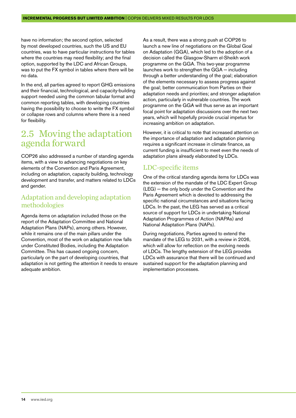<span id="page-13-0"></span>have no information; the second option, selected by most developed countries, such the US and EU countries, was to have particular instructions for tables where the countries may need flexibility; and the final option, supported by the LDC and African Groups, was to put the FX symbol in tables where there will be no data.

In the end, all parties agreed to report GHG emissions and their financial, technological, and capacity-building support needed using the common tabular format and common reporting tables, with developing countries having the possibility to choose to write the FX symbol or collapse rows and columns where there is a need for flexibility.

### 2.5 Moving the adaptation agenda forward

COP26 also addressed a number of standing agenda items, with a view to advancing negotiations on key elements of the Convention and Paris Agreement, including on adaptation, capacity building, technology development and transfer, and matters related to LDCs and gender.

#### Adaptation and developing adaptation methodologies

Agenda items on adaptation included those on the report of the Adaptation Committee and National Adaptation Plans (NAPs), among others. However, while it remains one of the main pillars under the Convention, most of the work on adaptation now falls under Constituted Bodies, including the Adaptation Committee. This has caused ongoing concern, particularly on the part of developing countries, that adaptation is not getting the attention it needs to ensure adequate ambition.

As a result, there was a strong push at COP26 to launch a new line of negotiations on the Global Goal on Adaptation (GGA), which led to the adoption of a decision called the Glasgow-Sharm el-Sheikh work programme on the GGA. This two-year programme launches work to strengthen the GGA – including through a better understanding of the goal; elaboration of the elements necessary to assess progress against the goal; better communication from Parties on their adaptation needs and priorities; and stronger adaptation action, particularly in vulnerable countries. The work programme on the GGA will thus serve as an important focal point for adaptation discussions over the next two years, which will hopefully provide crucial impetus for increasing ambition on adaptation.

However, it is critical to note that increased attention on the importance of adaptation and adaptation planning requires a significant increase in climate finance, as current funding is insufficient to meet even the needs of adaptation plans already elaborated by LDCs.

#### LDC-specific items

One of the critical standing agenda items for LDCs was the extension of the mandate of the LDC Expert Group (LEG) − the only body under the Convention and the Paris Agreement which is devoted to addressing the specific national circumstances and situations facing LDCs. In the past, the LEG has served as a critical source of support for LDCs in undertaking National Adaptation Programmes of Action (NAPAs) and National Adaptation Plans (NAPs).

During negotiations, Parties agreed to extend the mandate of the LEG to 2031, with a review in 2026, which will allow for reflection on the evolving needs of LDCs. The lengthy extension of the LEG provides LDCs with assurance that there will be continued and sustained support for the adaptation planning and implementation processes.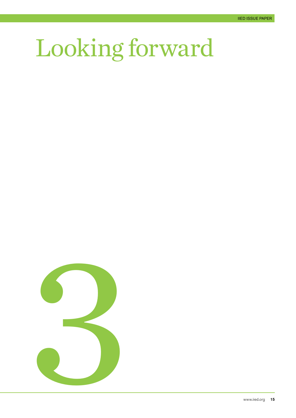# <span id="page-14-0"></span>Looking forward

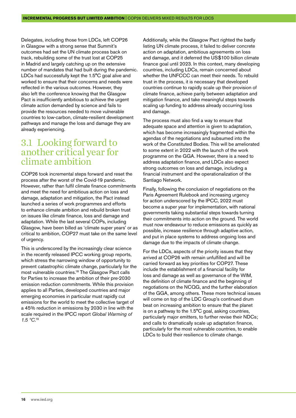<span id="page-15-0"></span>Delegates, including those from LDCs, left COP26 in Glasgow with a strong sense that Summit's outcomes had set the UN climate process back on track, rebuilding some of the trust lost at COP25 in Madrid and largely catching up on the extensive number of mandates that had built during the pandemic. LDCs had successfully kept the 1.5°C goal alive and worked to ensure that their concerns and needs were reflected in the various outcomes. However, they also left the conference knowing that the Glasgow Pact is insufficiently ambitious to achieve the urgent climate action demanded by science and fails to provide the resources needed to move vulnerable countries to low-carbon, climate-resilient development pathways and manage the loss and damage they are already experiencing.

### 3.1 Looking forward to another critical year for climate ambition

COP26 took incremental steps forward and reset the process after the worst of the Covid-19 pandemic. However, rather than fulfil climate finance commitments and meet the need for ambitious action on loss and damage, adaptation and mitigation, the Pact instead launched a series of work programmes and efforts to enhance climate ambition and rebuild broken trust on issues like climate finance, loss and damage and adaptation. While the last several COPs, including Glasgow, have been billed as 'climate super years' or as critical to ambition, COP27 must take on the same level of urgency.

This is underscored by the increasingly clear science in the recently released IPCC working group reports, which stress the narrowing window of opportunity to prevent catastrophic climate change, particularly for the most vulnerable countries.18 The Glasgow Pact calls for Parties to increase the ambition of their pre-2030 emission reduction commitments. While this provision applies to all Parties, developed countries and major emerging economies in particular must rapidly cut emissions for the world to meet the collective target of a 45% reduction in emissions by 2030 in line with the scale required in the IPCC report *Global Warming of*  1.5 °C.<sup>19</sup>

Additionally, while the Glasgow Pact righted the badly listing UN climate process, it failed to deliver concrete action on adaptation, ambitious agreements on loss and damage, and it deferred the US\$100 billion climate finance goal until 2023. In this context, many developing countries, including LDCs, remain concerned about whether the UNFCCC can meet their needs. To rebuild trust in the process, it is necessary that developed countries continue to rapidly scale up their provision of climate finance, achieve parity between adaptation and mitigation finance, and take meaningful steps towards scaling up funding to address already occurring loss and damage.

The process must also find a way to ensure that adequate space and attention is given to adaptation, which has become increasingly fragmented within the agendas of the negotiations and subsumed into the work of the Constituted Bodies. This will be ameliorated to some extent in 2022 with the launch of the work programme on the GGA. However, there is a need to address adaptation finance, and LDCs also expect strong outcomes on loss and damage, including a financial instrument and the operationalization of the Santiago Network.

Finally, following the conclusion of negotiations on the Paris Agreement Rulebook and increasing urgency for action underscored by the IPCC, 2022 must become a super year for implementation, with national governments taking substantial steps towards turning their commitments into action on the ground. The world must now endeavour to reduce emissions as quickly as possible, increase resilience through adaptive action, and put in place systems to address ongoing loss and damage due to the impacts of climate change.

For the LDCs, aspects of the priority issues that they arrived at COP26 with remain unfulfilled and will be carried forward as key priorities for COP27. These include the establishment of a financial facility for loss and damage as well as governance of the WIM, the definition of climate finance and the beginning of negotiations on the NCQG, and the further elaboration of the GGA, among others. These more technical issues will come on top of the LDC Group's continued drum beat on increasing ambition to ensure that the planet is on a pathway to the 1.5°C goal, asking countries, particularly major emitters, to further revise their NDCs; and calls to dramatically scale up adaptation finance, particularly for the most vulnerable countries, to enable LDCs to build their resilience to climate change.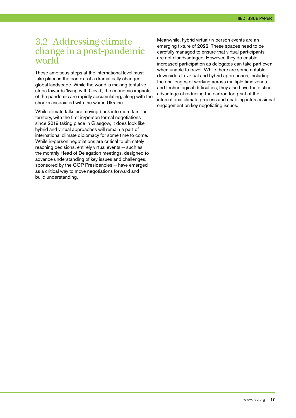### <span id="page-16-0"></span>3.2 Addressing climate change in a post-pandemic world

These ambitious steps at the international level must take place in the context of a dramatically changed global landscape. While the world is making tentative steps towards 'living with Covid', the economic impacts of the pandemic are rapidly accumulating, along with the shocks associated with the war in Ukraine.

While climate talks are moving back into more familiar territory, with the first in-person formal negotiations since 2019 taking place in Glasgow, it does look like hybrid and virtual approaches will remain a part of international climate diplomacy for some time to come. While in-person negotiations are critical to ultimately reaching decisions, entirely virtual events – such as the monthly Head of Delegation meetings, designed to advance understanding of key issues and challenges, sponsored by the COP Presidencies – have emerged as a critical way to move negotiations forward and build understanding.

Meanwhile, hybrid virtual/in-person events are an emerging fixture of 2022. These spaces need to be carefully managed to ensure that virtual participants are not disadvantaged. However, they do enable increased participation as delegates can take part even when unable to travel. While there are some notable downsides to virtual and hybrid approaches, including the challenges of working across multiple time zones and technological difficulties, they also have the distinct advantage of reducing the carbon footprint of the international climate process and enabling intersessional engagement on key negotiating issues.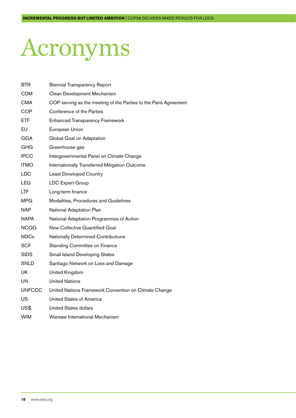## <span id="page-17-0"></span>Acronyms

| BTR         | <b>Biennial Transparency Report</b>                              |
|-------------|------------------------------------------------------------------|
| <b>CDM</b>  | Clean Development Mechanism                                      |
| <b>CMA</b>  | COP serving as the meeting of the Parties to the Paris Agreement |
| <b>COP</b>  | Conference of the Parties                                        |
| <b>ETF</b>  | <b>Enhanced Transparency Framework</b>                           |
| EU          | European Union                                                   |
| <b>GGA</b>  | Global Goal on Adaptation                                        |
| GHG         | Greenhouse gas                                                   |
| <b>IPCC</b> | Intergovernmental Panel on Climate Change                        |
| <b>ITMO</b> | Internationally Transferred Mitigation Outcome                   |
| <b>LDC</b>  | <b>Least Developed Country</b>                                   |
| <b>LEG</b>  | <b>LDC Expert Group</b>                                          |
| LTF         | Long-term finance                                                |
| <b>MPG</b>  | Modalities, Procedures and Guidelines                            |
| <b>NAP</b>  | National Adaptation Plan                                         |
| NAPA        | National Adaptation Programmes of Action                         |
| <b>NCQG</b> | New Collective Quantified Goal                                   |
| <b>NDCs</b> | Nationally Determined Contributions                              |
| <b>SCF</b>  | Standing Committee on Finance                                    |
| <b>SIDS</b> | <b>Small Island Developing States</b>                            |
| SNLD        | Santiago Network on Loss and Damage                              |
| <b>UK</b>   | United Kingdom                                                   |
| UN          | <b>United Nations</b>                                            |
| UNFCCC      | United Nations Framework Convention on Climate Change            |
| US          | United States of America                                         |
| US\$        | United States dollars                                            |
| <b>WIM</b>  | Warsaw International Mechanism                                   |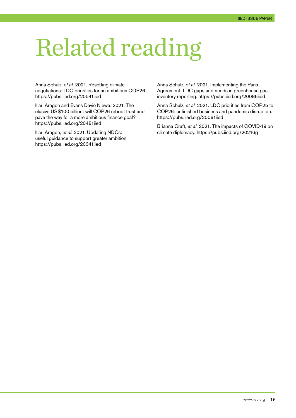## <span id="page-18-0"></span>Related reading

Anna Schulz, *et al.* 2021. Resetting climate negotiations: LDC priorities for an ambitious COP26. <https://pubs.iied.org/20541iied>

Illari Aragon and Evans Davie Njewa. 2021. The elusive US\$100 billion: will COP26 reboot trust and pave the way for a more ambitious finance goal? <https://pubs.iied.org/20481iied>

Illari Aragon, *et al.* 2021. Updating NDCs: useful guidance to support greater ambition. <https://pubs.iied.org/20341iied>

Anna Schulz, *et al.* 2021. Implementing the Paris Agreement: LDC gaps and needs in greenhouse gas inventory reporting.<https://pubs.iied.org/20086iied>

Anna Schulz, *et al.* 2021. LDC priorities from COP25 to COP26: unfinished business and pandemic disruption. <https://pubs.iied.org/20081iied>

Brianna Craft, *et al.* 2021. The impacts of COVID-19 on climate diplomacy. <https://pubs.iied.org/20216g>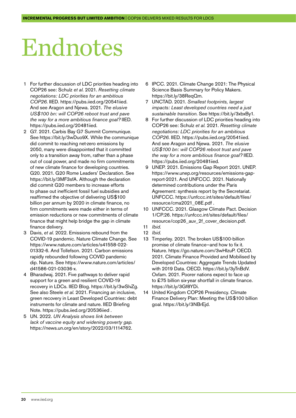## <span id="page-19-0"></span>Endnotes

- 1 For further discussion of LDC priorities heading into COP26 see: Schulz *et al.* 2021. *Resetting climate negotiations: LDC priorities for an ambitious COP26*. IIED. <https://pubs.iied.org/20541iied>. And see Aragon and Njewa. 2021. *The elusive US\$100 bn: will COP26 reboot trust and pave the way for a more ambitious finance goal?* IIED. <https://pubs.iied.org/20481iied>.
- 2 G7. 2021. Carbis Bay G7 Summit Communique. See<https://bit.ly/3wDuo9X>. While the communique did commit to reaching net-zero emissions by 2050, many were disappointed that it committed only to a transition away from, rather than a phase out of coal power, and made no firm commitments of new climate finance for developing countries. G20. 2021. G20 Rome Leaders' Declaration. See [https://bit.ly/3MF3sfA.](https://bit.ly/3MF3sfA) Although the declaration did commit G20 members to increase efforts to phase out inefficient fossil fuel subsidies and reaffirmed the objective of delivering US\$100 billion per annum by 2020 in climate finance, no firm commitments were made either in terms of emission reductions or new commitments of climate finance that might help bridge the gap in climate finance delivery.
- 3 Davis, *et al.* 2022. Emissions rebound from the COVID-19 pandemic. Nature Climate Change. See [https://www.nature.com/articles/s41558-022-](https://www.nature.com/articles/s41558-022-01332-6) [01332-6](https://www.nature.com/articles/s41558-022-01332-6). And Tollefson. 2021. Carbon emissions rapidly rebounded following COVID pandemic dip. Nature. See [https://www.nature.com/articles/](https://www.nature.com/articles/d41586-021-03036-x) [d41586-021-03036-x](https://www.nature.com/articles/d41586-021-03036-x).
- Bharadwai, 2021. Five pathways to deliver rapid support for a green and resilient COVID-19 recovery in LDCs. IIED Blog. [https://bit.ly/3wSlvZg.](https://bit.ly/3wSlvZg) See also Steele *et al.* 2021. Financing an inclusive, green recovery in Least Developed Countries: debt instruments for climate and nature. IIED Briefing Note. <https://pubs.iied.org/20536iied>.
- 5 UN. 2022. *UN Analysis shows link between lack of vaccine equity and widening poverty gap*. [https://news.un.org/en/story/2022/03/1114762.](https://news.un.org/en/story/2022/03/1114762)
- 6 IPCC. 2021. Climate Change 2021: The Physical Science Basis Summary for Policy Makers. [https://bit.ly/38ReqQm.](https://bit.ly/38ReqQm)
- 7 UNCTAD. 2021. *Smallest footprints, largest impacts: Least developed countries need a just sustainable transition*. See [https://bit.ly/3xbxBy1.](https://bit.ly/3xbxBy1)
- 8 For further discussion of LDC priorities heading into COP26 see: Schulz *et al.* 2021. *Resetting climate negotiations: LDC priorities for an ambitious COP26*. IIED. <https://pubs.iied.org/20541iied>. And see Aragon and Njewa. 2021. *The elusive US\$100 bn: will COP26 reboot trust and pave the way for a more ambitious finance goal?* IIED. [https://pubs.iied.org/20481iied.](https://pubs.iied.org/20481iied)
- 9 UNEP. 2021. Emissions Gap Report 2021. UNEP. [https://www.unep.org/resources/emissions-gap](https://www.unep.org/resources/emissions-gap-report-2021)[report-2021.](https://www.unep.org/resources/emissions-gap-report-2021) And UNFCCC. 2021. Nationally determined contributions under the Paris Agreement: synthesis report by the Secretariat. UNFCCC. [https://unfccc.int/sites/default/files/](https://unfccc.int/sites/default/files/resource/cma2021_08E.pdf) [resource/cma2021\\_08E.pdf](https://unfccc.int/sites/default/files/resource/cma2021_08E.pdf) .
- 10 UNFCCC. 2021. Glasgow Climate Pact. Decision 1/CP.26. [https://unfccc.int/sites/default/files/](https://unfccc.int/sites/default/files/resource/cop26_auv_2f_cover_decision.pdf) [resource/cop26\\_auv\\_2f\\_cover\\_decision.pdf.](https://unfccc.int/sites/default/files/resource/cop26_auv_2f_cover_decision.pdf) 11 *Ibid.*
- 12 *Ibid.*
- 
- 13 Timperley. 2021. The broken US\$100-billion promise of climate finance—and how to fix it. Nature. [https://go.nature.com/3wHIzuP.](https://go.nature.com/3wHIzuP) OECD. 2021. Climate Finance Provided and Mobilised by Developed Countries: Aggregate Trends Updated with 2019 Data. OECD.<https://bit.ly/3yTnBdV>. Oxfam. 2021. Poorer nations expect to face up to £75 billion six-year shortfall in climate finance. [https://bit.ly/3Gf8YDi.](https://bit.ly/3Gf8YDi)
- 14 United Kingdom COP26 Presidency. Climate Finance Delivery Plan: Meeting the US\$100 billion goal. [https://bit.ly/3NBrEjd.](https://bit.ly/3NBrEjd)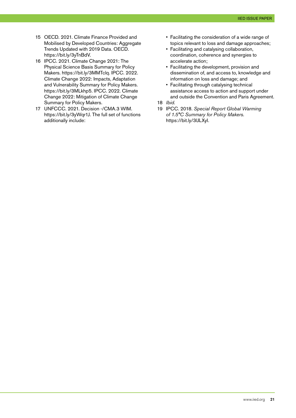- 15 OECD. 2021. Climate Finance Provided and Mobilised by Developed Countries: Aggregate Trends Updated with 2019 Data. OECD. [https://bit.ly/3yTnBdV.](https://bit.ly/3yTnBdV)
- 16 IPCC. 2021. Climate Change 2021: The Physical Science Basis Summary for Policy Makers. <https://bit.ly/3MMTclq>. IPCC. 2022. Climate Change 2022: Impacts, Adaptation and Vulnerability Summary for Policy Makers. <https://bit.ly/3MLkhp5>. IPCC. 2022. Climate Change 2022: Mitigation of Climate Change Summary for Policy Makers.
- 17 UNFCCC. 2021. Decision -/CMA.3 WIM. [https://bit.ly/3yWqr1J.](https://bit.ly/3yWqr1J) The full set of functions additionally include:
- Facilitating the consideration of a wide range of topics relevant to loss and damage approaches;
- Facilitating and catalysing collaboration, coordination, coherence and synergies to accelerate action;
- Facilitating the development, provision and dissemination of, and access to, knowledge and information on loss and damage; and
- Facilitating through catalysing technical assistance access to action and support under and outside the Convention and Paris Agreement.
- 18 *Ibid.*
- 19 IPCC. 2018. *Special Report Global Warming of 1.5°C Summary for Policy Makers.*  [https://bit.ly/3lJLXyI.](https://bit.ly/3lJLXyI)